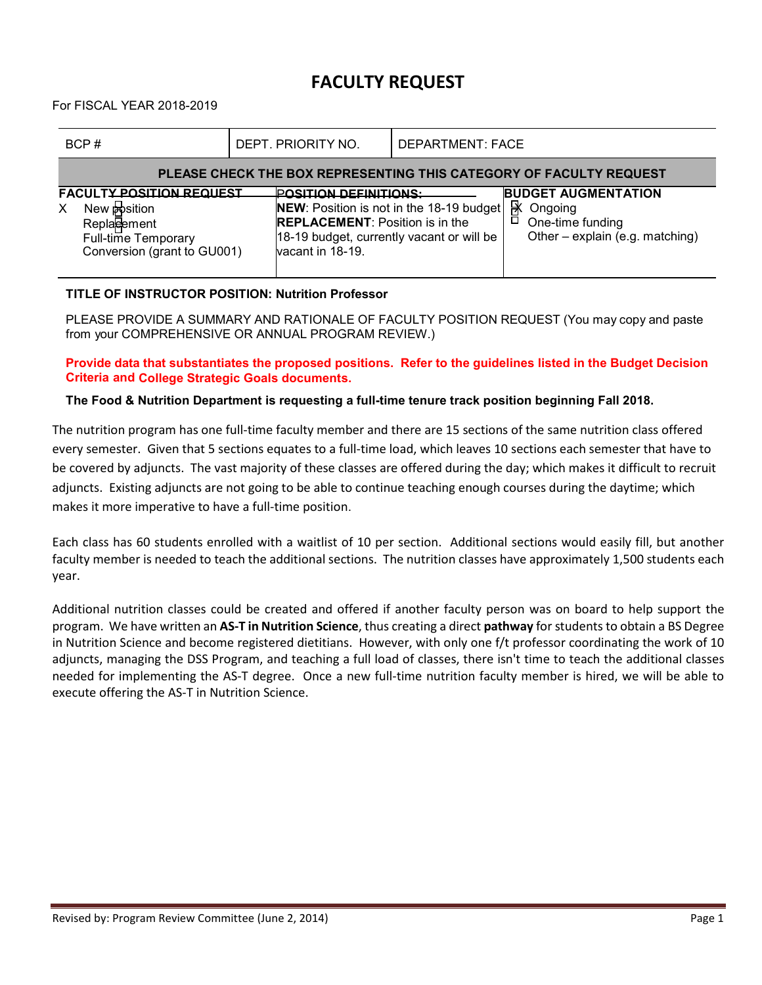## **FACULTY REQUEST**

For FISCAL YEAR 2018-2019

| BCP#                                                                                                                                    | DEPT. PRIORITY NO.                                                                         | <b>DEPARTMENT: FACE</b>                                                                                                                                                                         |  |  |  |  |  |  |
|-----------------------------------------------------------------------------------------------------------------------------------------|--------------------------------------------------------------------------------------------|-------------------------------------------------------------------------------------------------------------------------------------------------------------------------------------------------|--|--|--|--|--|--|
| PLEASE CHECK THE BOX REPRESENTING THIS CATEGORY OF FACULTY REQUEST                                                                      |                                                                                            |                                                                                                                                                                                                 |  |  |  |  |  |  |
| <b>FACULTY POSITION REQUEST</b><br>New <b>Position</b><br>X<br><b>Replacement</b><br>Full-time Temporary<br>Conversion (grant to GU001) | <b>POSITION DEFINITIONS:</b><br><b>REPLACEMENT: Position is in the</b><br>vacant in 18-19. | <b>BUDGET AUGMENTATION</b><br>图<br>NEW: Position is not in the 18-19 budget<br>Ongoing<br>ū<br>One-time funding<br>Other – explain (e.g. matching)<br>18-19 budget, currently vacant or will be |  |  |  |  |  |  |

## **TITLE OF INSTRUCTOR POSITION: Nutrition Professor**

PLEASE PROVIDE A SUMMARY AND RATIONALE OF FACULTY POSITION REQUEST (You may copy and paste from your COMPREHENSIVE OR ANNUAL PROGRAM REVIEW.)

**Provide data that substantiates the proposed positions. Refer to the guidelines listed in the Budget Decision Criteria and College Strategic Goals documents.**

## **The Food & Nutrition Department is requesting a full-time tenure track position beginning Fall 2018.**

The nutrition program has one full-time faculty member and there are 15 sections of the same nutrition class offered every semester. Given that 5 sections equates to a full-time load, which leaves 10 sections each semester that have to be covered by adjuncts. The vast majority of these classes are offered during the day; which makes it difficult to recruit adjuncts. Existing adjuncts are not going to be able to continue teaching enough courses during the daytime; which makes it more imperative to have a full-time position.

Each class has 60 students enrolled with a waitlist of 10 per section. Additional sections would easily fill, but another faculty member is needed to teach the additional sections. The nutrition classes have approximately 1,500 students each year.

Additional nutrition classes could be created and offered if another faculty person was on board to help support the program. We have written an **AS-T in Nutrition Science**, thus creating a direct **pathway** for students to obtain a BS Degree in Nutrition Science and become registered dietitians. However, with only one f/t professor coordinating the work of 10 adjuncts, managing the DSS Program, and teaching a full load of classes, there isn't time to teach the additional classes needed for implementing the AS-T degree. Once a new full-time nutrition faculty member is hired, we will be able to execute offering the AS-T in Nutrition Science.